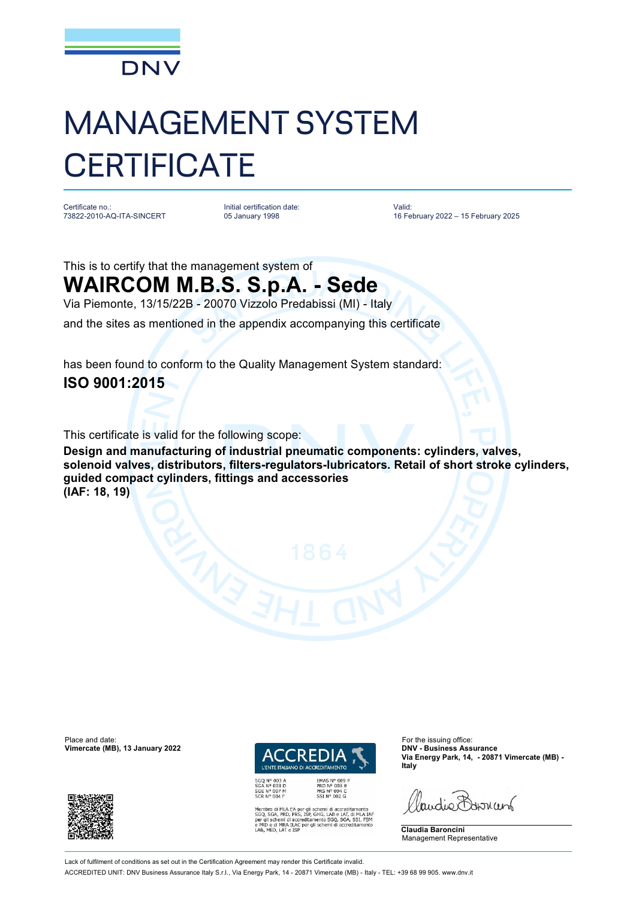

## MANAGEMENT SYSTEM **CERTIFICATE**

Certificate no.: 73822-2010-AQ-ITA-SINCERT Initial certification date: 05 January 1998

Valid: 16 February 2022 – 15 February 2025

This is to certify that the management system of **WAIRCOM M.B.S. S.p.A. - Sede**

Via Piemonte, 13/15/22B - 20070 Vizzolo Predabissi (MI) - Italy

and the sites as mentioned in the appendix accompanying this certificate

has been found to conform to the Quality Management System standard: **ISO 9001:2015**

This certificate is valid for the following scope:

**Design and manufacturing of industrial pneumatic components: cylinders, valves, solenoid valves, distributors, filters-regulators-lubricators. Retail of short stroke cylinders, guided compact cylinders, fittings and accessories (IAF: 18, 19)**

Place and date: For the issuing office:<br> **Place and date:** For the issuing office:<br> **Place and date:** For the issuing office:<br> **Place and date:** For the issuing office:





ILA EA per gli schemi di accreditamento<br>PRD, PRS, ISP, GHG, LAB e LAT, di MLA IAF<br>ni di accreditamento SGQ, SGA, SSI, FSM<br>IRA ILAC per gli schemi di accreditamento

**Via Energy Park, 14, - 20871 Vimercate (MB) - Italy**

Paudie Bornun

**Claudia Baroncini** Management Representative

Lack of fulfilment of conditions as set out in the Certification Agreement may render this Certificate invalid. ACCREDITED UNIT: DNV Business Assurance Italy S.r.l., Via Energy Park, 14 - 20871 Vimercate (MB) - Italy - TEL: +39 68 99 905. [www.dnv.it](http://www.dnv.it)